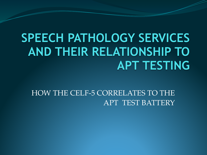#### **SPEECH PATHOLOGY SERVICES AND THEIR RELATIONSHIP TO APT TESTING**

HOW THE CELF-5 CORRELATES TO THE APT TEST BATTERY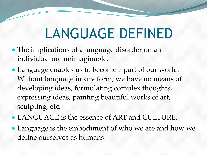## LANGUAGE DEFINED

- The implications of a language disorder on an individual are unimaginable.
- Language enables us to become a part of our world. Without language in any form, we have no means of developing ideas, formulating complex thoughts, expressing ideas, painting beautiful works of art, sculpting, etc.
- LANGUAGE is the essence of ART and CULTURE.
- Language is the embodiment of who we are and how we define ourselves as humans.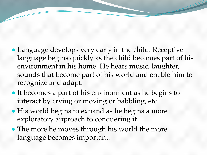- Language develops very early in the child. Receptive language begins quickly as the child becomes part of his environment in his home. He hears music, laughter, sounds that become part of his world and enable him to recognize and adapt.
- It becomes a part of his environment as he begins to interact by crying or moving or babbling, etc.
- His world begins to expand as he begins a more exploratory approach to conquering it.
- The more he moves through his world the more language becomes important.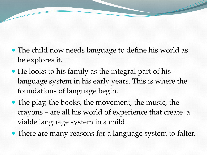- The child now needs language to define his world as he explores it.
- He looks to his family as the integral part of his language system in his early years. This is where the foundations of language begin.
- The play, the books, the movement, the music, the crayons – are all his world of experience that create a viable language system in a child.
- There are many reasons for a language system to falter.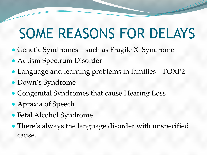## SOME REASONS FOR DELAYS

- Genetic Syndromes such as Fragile X Syndrome
- Autism Spectrum Disorder
- Language and learning problems in families FOXP2
- Down's Syndrome
- Congenital Syndromes that cause Hearing Loss
- Apraxia of Speech
- Fetal Alcohol Syndrome
- There's always the language disorder with unspecified cause.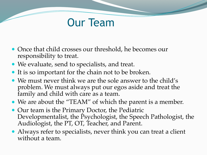#### Our Team

- Once that child crosses our threshold, he becomes our responsibility to treat.
- We evaluate, send to specialists, and treat.
- It is so important for the chain not to be broken.
- We must never think we are the sole answer to the child's problem. We must always put our egos aside and treat the family and child with care as a team.
- We are about the "TEAM" of which the parent is a member.
- Our team is the Primary Doctor, the Pediatric Developmentalist, the Psychologist, the Speech Pathologist, the Audiologist, the PT, OT, Teacher, and Parent.
- Always refer to specialists, never think you can treat a client without a team.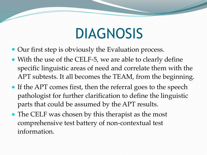## DIAGNOSIS

- Our first step is obviously the Evaluation process.
- With the use of the CELF-5, we are able to clearly define specific linguistic areas of need and correlate them with the APT subtests. It all becomes the TEAM, from the beginning.
- If the APT comes first, then the referral goes to the speech pathologist for further clarification to define the linguistic parts that could be assumed by the APT results.
- The CELF was chosen by this therapist as the most comprehensive test battery of non-contextual test information.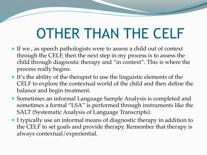## OTHER THAN THE CELF

- If we , as speech pathologists were to assess a child out of context through the CELF, then the next step in my process is to assess the child through diagnostic therapy and "in context". This is where the process really begins.
- It's the ability of the therapist to use the linguistic elements of the CELF to explore the contextual world of the child and then define the balance and begin treatment.
- Sometimes an informal Language Sample Analysis is completed and sometimes a formal "LSA" is performed through instruments like the SALT (Systematic Analysis of Language Transcripts).
- I typically use an informal means of diagnostic therapy in addition to the CELF to set goals and provide therapy. Remember that therapy is always contextual/experiential.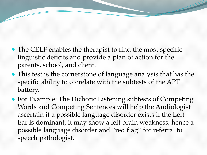- The CELF enables the therapist to find the most specific linguistic deficits and provide a plan of action for the parents, school, and client.
- This test is the cornerstone of language analysis that has the specific ability to correlate with the subtests of the APT battery.
- For Example: The Dichotic Listening subtests of Competing Words and Competing Sentences will help the Audiologist ascertain if a possible language disorder exists if the Left Ear is dominant, it may show a left brain weakness, hence a possible language disorder and "red flag" for referral to speech pathologist.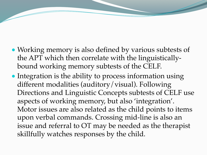- Working memory is also defined by various subtests of the APT which then correlate with the linguisticallybound working memory subtests of the CELF.
- Integration is the ability to process information using different modalities (auditory/visual). Following Directions and Linguistic Concepts subtests of CELF use aspects of working memory, but also 'integration'. Motor issues are also related as the child points to items upon verbal commands. Crossing mid-line is also an issue and referral to OT may be needed as the therapist skillfully watches responses by the child.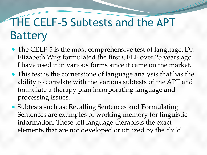#### THE CELF-5 Subtests and the APT Battery

- The CELF-5 is the most comprehensive test of language. Dr. Elizabeth Wiig formulated the first CELF over 25 years ago. I have used it in various forms since it came on the market.
- This test is the cornerstone of language analysis that has the ability to correlate with the various subtests of the APT and formulate a therapy plan incorporating language and processing issues.
- Subtests such as: Recalling Sentences and Formulating Sentences are examples of working memory for linguistic information. These tell language therapists the exact elements that are not developed or utilized by the child.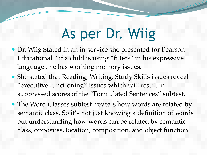## As per Dr. Wiig

- Dr. Wiig Stated in an in-service she presented for Pearson Educational "if a child is using "fillers" in his expressive language , he has working memory issues.
- She stated that Reading, Writing, Study Skills issues reveal "executive functioning" issues which will result in suppressed scores of the "Formulated Sentences" subtest.
- The Word Classes subtest reveals how words are related by semantic class. So it's not just knowing a definition of words but understanding how words can be related by semantic class, opposites, location, composition, and object function.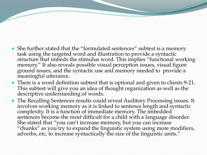- She further stated that the "formulated sentences" subtest is a memory task using the targeted word and illustration to provide a syntactic structure that imbeds the stimulus word. This implies "functional working memory." It also reveals possible visual perception issues, visual figure ground issues, and the syntactic use and memory needed to provide a meaningful utterance.
- There is a word definition subtest that is optional and given to clients 9-21. This subtest will give you an idea of thought organization as well as the descriptive understanding of words.
- The Recalling Sentences results could reveal Auditory Processing issues. It involves working memory as it is linked to sentence length and syntactic complexity. It is a function of immediate memory. The imbedded sentences become the most difficult for a child with a language disorder. She stated that "you can't increase memory, but you can increase "chunks" as you try to expand the linguistic system using more modifiers, adverbs, etc, to increase syntactically the size of the linguistic units."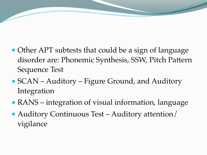- Other APT subtests that could be a sign of language disorder are: Phonemic Synthesis, SSW, Pitch Pattern Sequence Test
- SCAN Auditory Figure Ground, and Auditory Integration
- RANS integration of visual information, language
- Auditory Continuous Test Auditory attention/ vigilance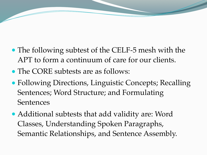- The following subtest of the CELF-5 mesh with the APT to form a continuum of care for our clients.
- The CORE subtests are as follows:
- Following Directions, Linguistic Concepts; Recalling Sentences; Word Structure; and Formulating **Sentences**
- Additional subtests that add validity are: Word Classes, Understanding Spoken Paragraphs, Semantic Relationships, and Sentence Assembly.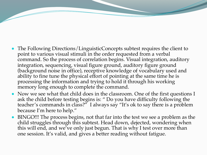- The Following Directions/LinguisticConcepts subtest requires the client to point to various visual stimuli in the order requested from a verbal command. So the process of correlation begins. Visual integration, auditory integration, sequencing, visual figure ground, auditory figure ground (background noise in office), receptive knowledge of vocabulary used and ability to fine tune the physical effort of pointing at the same time he is processing the information and trying to hold it through his working memory long enough to complete the command.
- Now we see what that child does in the classroom. One of the first questions I ask the child before testing begins is: " Do you have difficulty following the teacher's commands in class?" I always say "It's ok to say there is a problem because I'm here to help."
- BINGO!!! The process begins, not that far into the test we see a problem as the child struggles through this subtest. Head down, dejected, wondering when this will end, and we've only just begun. That is why I test over more than one session. It's valid, and gives a better reading without fatigue.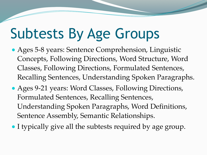# Subtests By Age Groups

- Ages 5-8 years: Sentence Comprehension, Linguistic Concepts, Following Directions, Word Structure, Word Classes, Following Directions, Formulated Sentences, Recalling Sentences, Understanding Spoken Paragraphs.
- Ages 9-21 years: Word Classes, Following Directions, Formulated Sentences, Recalling Sentences, Understanding Spoken Paragraphs, Word Definitions, Sentence Assembly, Semantic Relationships.
- I typically give all the subtests required by age group.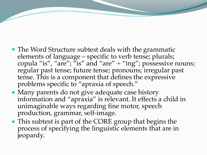- The Word Structure subtest deals with the grammatic elements of language – specific to verb tense; plurals; copula "is", "are"; "is" and "are" + "ing"; possessive nouns; regular past tense; future tense; pronouns; irregular past tense. This is a component that defines the expressive problems specific to "apraxia of speech."
- Many parents do not give adequate case history information and "apraxia" is relevant. It effects a child in unimaginable ways regarding fine motor, speech production, grammar, self-image.
- This subtest is part of the CORE group that begins the process of specifying the linguistic elements that are in jeopardy.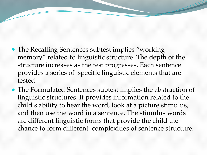- The Recalling Sentences subtest implies "working" memory" related to linguistic structure. The depth of the structure increases as the test progresses. Each sentence provides a series of specific linguistic elements that are tested.
- The Formulated Sentences subtest implies the abstraction of linguistic structures. It provides information related to the child's ability to hear the word, look at a picture stimulus, and then use the word in a sentence. The stimulus words are different linguistic forms that provide the child the chance to form different complexities of sentence structure.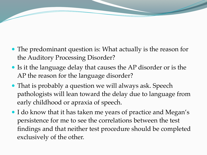- The predominant question is: What actually is the reason for the Auditory Processing Disorder?
- Is it the language delay that causes the AP disorder or is the AP the reason for the language disorder?
- That is probably a question we will always ask. Speech pathologists will lean toward the delay due to language from early childhood or apraxia of speech.
- I do know that it has taken me years of practice and Megan's persistence for me to see the correlations between the test findings and that neither test procedure should be completed exclusively of the other.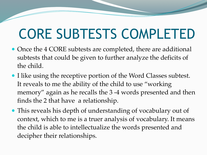## CORE SUBTESTS COMPLETED

- Once the 4 CORE subtests are completed, there are additional subtests that could be given to further analyze the deficits of the child.
- I like using the receptive portion of the Word Classes subtest. It reveals to me the ability of the child to use "working memory" again as he recalls the 3 -4 words presented and then finds the 2 that have a relationship.
- This reveals his depth of understanding of vocabulary out of context, which to me is a truer analysis of vocabulary. It means the child is able to intellectualize the words presented and decipher their relationships.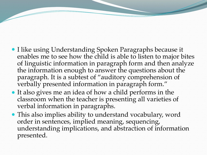- I like using Understanding Spoken Paragraphs because it enables me to see how the child is able to listen to major bites of linguistic information in paragraph form and then analyze the information enough to answer the questions about the paragraph. It is a subtest of "auditory comprehension of verbally presented information in paragraph form."
- It also gives me an idea of how a child performs in the classroom when the teacher is presenting all varieties of verbal information in paragraphs.
- This also implies ability to understand vocabulary, word order in sentences, implied meaning, sequencing, understanding implications, and abstraction of information presented.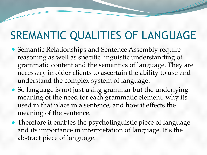#### SREMANTIC QUALITIES OF LANGUAGE

- Semantic Relationships and Sentence Assembly require reasoning as well as specific linguistic understanding of grammatic content and the semantics of language. They are necessary in older clients to ascertain the ability to use and understand the complex system of language.
- So language is not just using grammar but the underlying meaning of the need for each grammatic element, why its used in that place in a sentence, and how it effects the meaning of the sentence.
- Therefore it enables the psycholinguistic piece of language and its importance in interpretation of language. It's the abstract piece of language.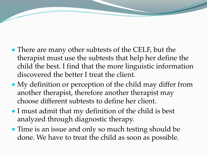- There are many other subtests of the CELF, but the therapist must use the subtests that help her define the child the best. I find that the more linguistic information discovered the better I treat the client.
- My definition or perception of the child may differ from another therapist, therefore another therapist may choose different subtests to define her client.
- I must admit that my definition of the child is best analyzed through diagnostic therapy.
- Time is an issue and only so much testing should be done. We have to treat the child as soon as possible.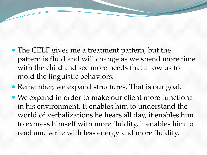- The CELF gives me a treatment pattern, but the pattern is fluid and will change as we spend more time with the child and see more needs that allow us to mold the linguistic behaviors.
- Remember, we expand structures. That is our goal.
- We expand in order to make our client more functional in his environment. It enables him to understand the world of verbalizations he hears all day, it enables him to express himself with more fluidity, it enables him to read and write with less energy and more fluidity.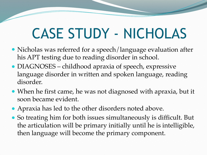## CASE STUDY - NICHOLAS

- Nicholas was referred for a speech/language evaluation after his APT testing due to reading disorder in school.
- DIAGNOSES childhood apraxia of speech, expressive language disorder in written and spoken language, reading disorder.
- When he first came, he was not diagnosed with apraxia, but it soon became evident.
- Apraxia has led to the other disorders noted above.
- So treating him for both issues simultaneously is difficult. But the articulation will be primary initially until he is intelligible, then language will become the primary component.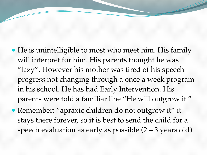- He is unintelligible to most who meet him. His family will interpret for him. His parents thought he was "lazy". However his mother was tired of his speech progress not changing through a once a week program in his school. He has had Early Intervention. His parents were told a familiar line "He will outgrow it."
- Remember: "apraxic children do not outgrow it" it stays there forever, so it is best to send the child for a speech evaluation as early as possible  $(2 – 3$  years old).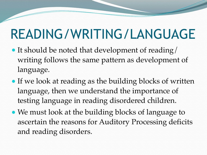### READING/WRITING/LANGUAGE

- $\bullet$  It should be noted that development of reading/ writing follows the same pattern as development of language.
- If we look at reading as the building blocks of written language, then we understand the importance of testing language in reading disordered children.
- We must look at the building blocks of language to ascertain the reasons for Auditory Processing deficits and reading disorders.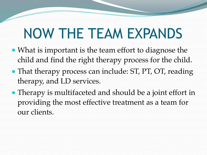## NOW THE TEAM EXPANDS

- What is important is the team effort to diagnose the child and find the right therapy process for the child.
- That therapy process can include: ST, PT, OT, reading therapy, and LD services.
- Therapy is multifaceted and should be a joint effort in providing the most effective treatment as a team for our clients.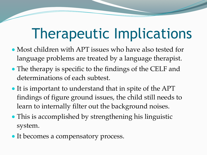## Therapeutic Implications

- Most children with APT issues who have also tested for language problems are treated by a language therapist.
- The therapy is specific to the findings of the CELF and determinations of each subtest.
- It is important to understand that in spite of the APT findings of figure ground issues, the child still needs to learn to internally filter out the background noises.
- This is accomplished by strengthening his linguistic system.
- It becomes a compensatory process.